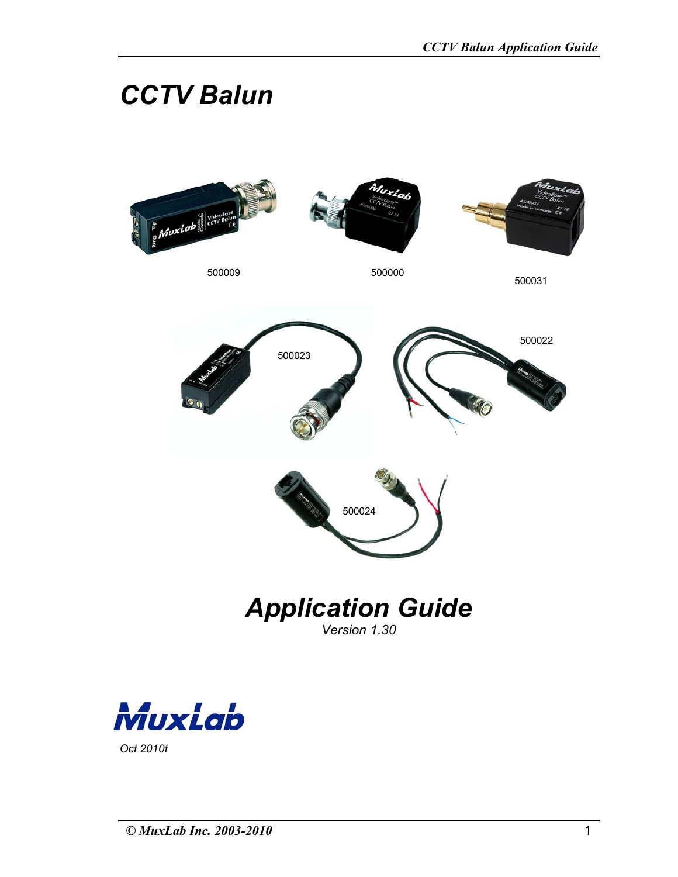# *CCTV Balun*





*Oct 2010t*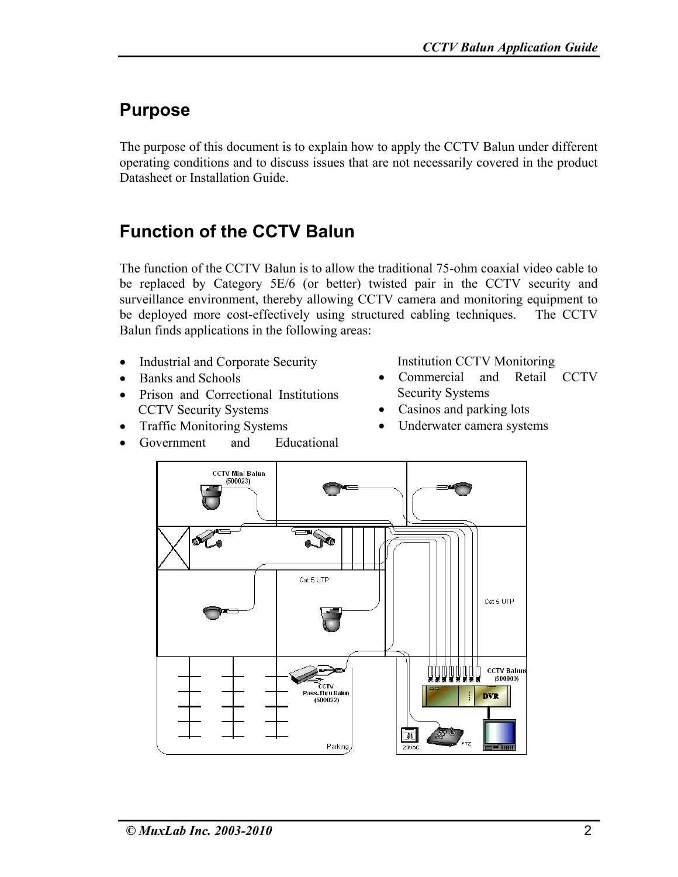### **Purpose**

The purpose of this document is to explain how to apply the CCTV Balun under different operating conditions and to discuss issues that are not necessarily covered in the product Datasheet or Installation Guide.

# **Function of the CCTV Balun**

The function of the CCTV Balun is to allow the traditional 75-ohm coaxial video cable to be replaced by Category 5E/6 (or better) twisted pair in the CCTV security and surveillance environment, thereby allowing CCTV camera and monitoring equipment to be deployed more cost-effectively using structured cabling techniques. The CCTV Balun finds applications in the following areas:

- Industrial and Corporate Security
- Banks and Schools
- Prison and Correctional Institutions CCTV Security Systems
- Traffic Monitoring Systems
- Government and Educational
- Institution CCTV Monitoring
- Commercial and Retail CCTV Security Systems
- Casinos and parking lots
- Underwater camera systems

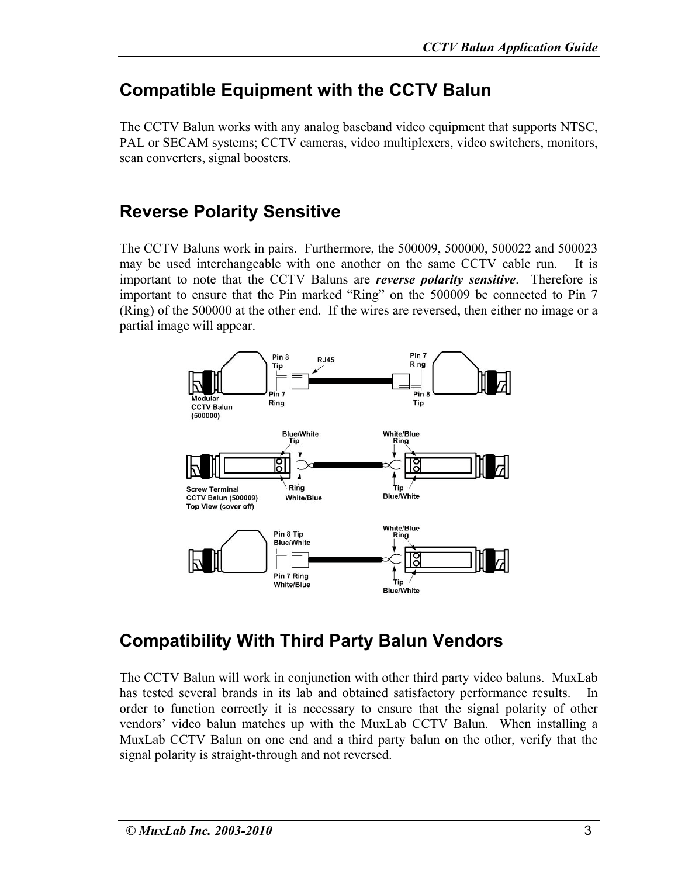#### **Compatible Equipment with the CCTV Balun**

The CCTV Balun works with any analog baseband video equipment that supports NTSC, PAL or SECAM systems; CCTV cameras, video multiplexers, video switchers, monitors, scan converters, signal boosters.

#### **Reverse Polarity Sensitive**

The CCTV Baluns work in pairs. Furthermore, the 500009, 500000, 500022 and 500023 may be used interchangeable with one another on the same CCTV cable run. It is important to note that the CCTV Baluns are *reverse polarity sensitive*. Therefore is important to ensure that the Pin marked "Ring" on the 500009 be connected to Pin 7 (Ring) of the 500000 at the other end. If the wires are reversed, then either no image or a partial image will appear.



### **Compatibility With Third Party Balun Vendors**

The CCTV Balun will work in conjunction with other third party video baluns. MuxLab has tested several brands in its lab and obtained satisfactory performance results. In order to function correctly it is necessary to ensure that the signal polarity of other vendors' video balun matches up with the MuxLab CCTV Balun. When installing a MuxLab CCTV Balun on one end and a third party balun on the other, verify that the signal polarity is straight-through and not reversed.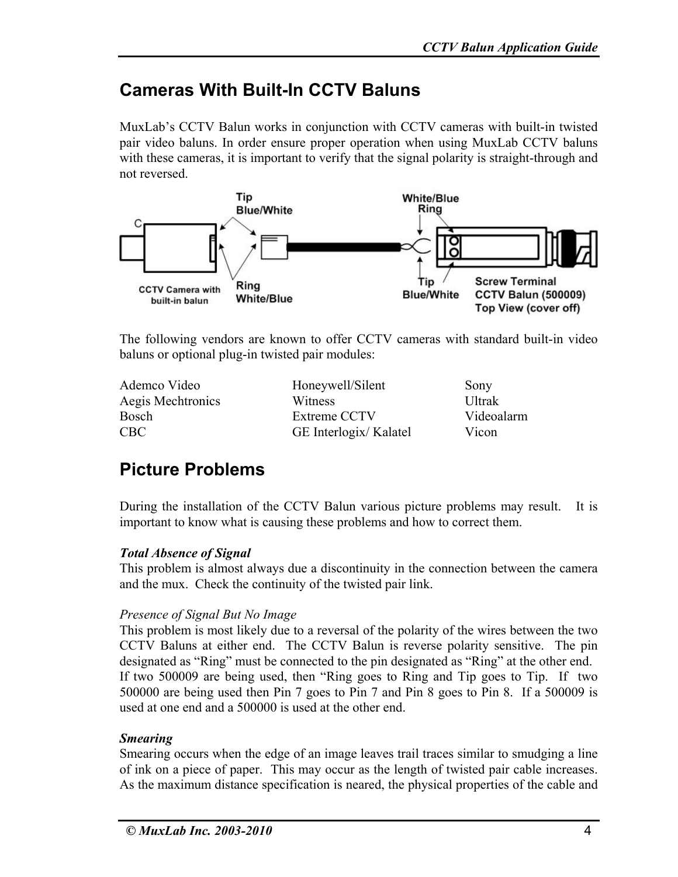### **Cameras With Built-In CCTV Baluns**

MuxLab's CCTV Balun works in conjunction with CCTV cameras with built-in twisted pair video baluns. In order ensure proper operation when using MuxLab CCTV baluns with these cameras, it is important to verify that the signal polarity is straight-through and not reversed.



The following vendors are known to offer CCTV cameras with standard built-in video baluns or optional plug-in twisted pair modules:

Ademco Video Aegis Mechtronics Bosch CBC

Honeywell/Silent **Witness** Extreme CCTV GE Interlogix/ Kalatel Sony Ultrak Videoalarm Vicon

# **Picture Problems**

During the installation of the CCTV Balun various picture problems may result. It is important to know what is causing these problems and how to correct them.

#### *Total Absence of Signal*

This problem is almost always due a discontinuity in the connection between the camera and the mux. Check the continuity of the twisted pair link.

#### *Presence of Signal But No Image*

This problem is most likely due to a reversal of the polarity of the wires between the two CCTV Baluns at either end. The CCTV Balun is reverse polarity sensitive. The pin designated as "Ring" must be connected to the pin designated as "Ring" at the other end. If two 500009 are being used, then "Ring goes to Ring and Tip goes to Tip. If two 500000 are being used then Pin 7 goes to Pin 7 and Pin 8 goes to Pin 8. If a 500009 is used at one end and a 500000 is used at the other end.

#### *Smearing*

Smearing occurs when the edge of an image leaves trail traces similar to smudging a line of ink on a piece of paper. This may occur as the length of twisted pair cable increases. As the maximum distance specification is neared, the physical properties of the cable and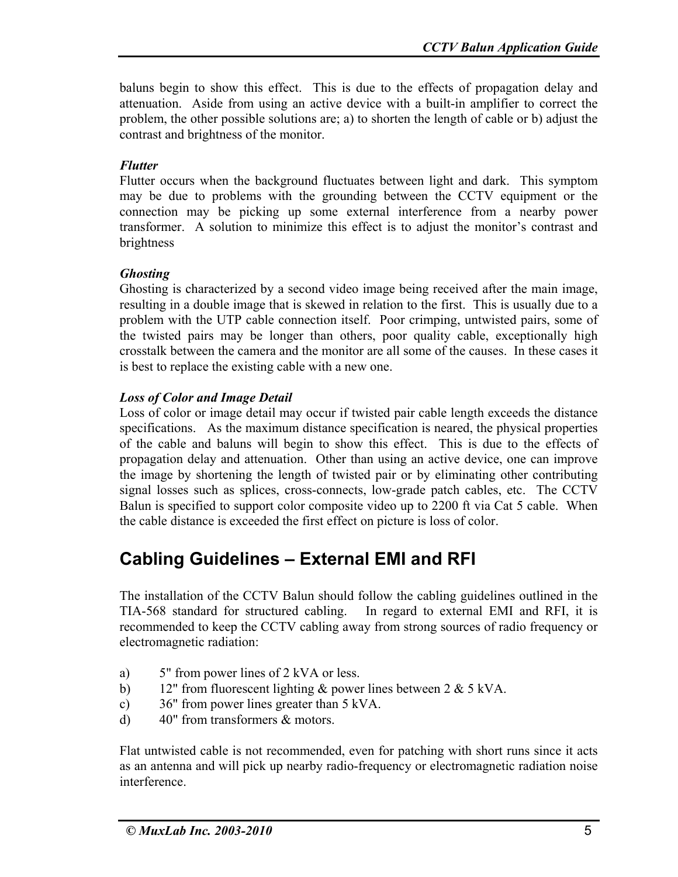baluns begin to show this effect. This is due to the effects of propagation delay and attenuation. Aside from using an active device with a built-in amplifier to correct the problem, the other possible solutions are; a) to shorten the length of cable or b) adjust the contrast and brightness of the monitor.

#### *Flutter*

Flutter occurs when the background fluctuates between light and dark. This symptom may be due to problems with the grounding between the CCTV equipment or the connection may be picking up some external interference from a nearby power transformer. A solution to minimize this effect is to adjust the monitor's contrast and brightness

#### *Ghosting*

Ghosting is characterized by a second video image being received after the main image, resulting in a double image that is skewed in relation to the first. This is usually due to a problem with the UTP cable connection itself. Poor crimping, untwisted pairs, some of the twisted pairs may be longer than others, poor quality cable, exceptionally high crosstalk between the camera and the monitor are all some of the causes. In these cases it is best to replace the existing cable with a new one.

#### *Loss of Color and Image Detail*

Loss of color or image detail may occur if twisted pair cable length exceeds the distance specifications. As the maximum distance specification is neared, the physical properties of the cable and baluns will begin to show this effect. This is due to the effects of propagation delay and attenuation. Other than using an active device, one can improve the image by shortening the length of twisted pair or by eliminating other contributing signal losses such as splices, cross-connects, low-grade patch cables, etc. The CCTV Balun is specified to support color composite video up to 2200 ft via Cat 5 cable. When the cable distance is exceeded the first effect on picture is loss of color.

### **Cabling Guidelines – External EMI and RFI**

The installation of the CCTV Balun should follow the cabling guidelines outlined in the TIA-568 standard for structured cabling. In regard to external EMI and RFI, it is recommended to keep the CCTV cabling away from strong sources of radio frequency or electromagnetic radiation:

- a) 5" from power lines of 2 kVA or less.
- b) 12" from fluorescent lighting  $&$  power lines between 2  $& 5$  kVA.
- c) 36" from power lines greater than 5 kVA.
- d) 40" from transformers & motors.

Flat untwisted cable is not recommended, even for patching with short runs since it acts as an antenna and will pick up nearby radio-frequency or electromagnetic radiation noise interference.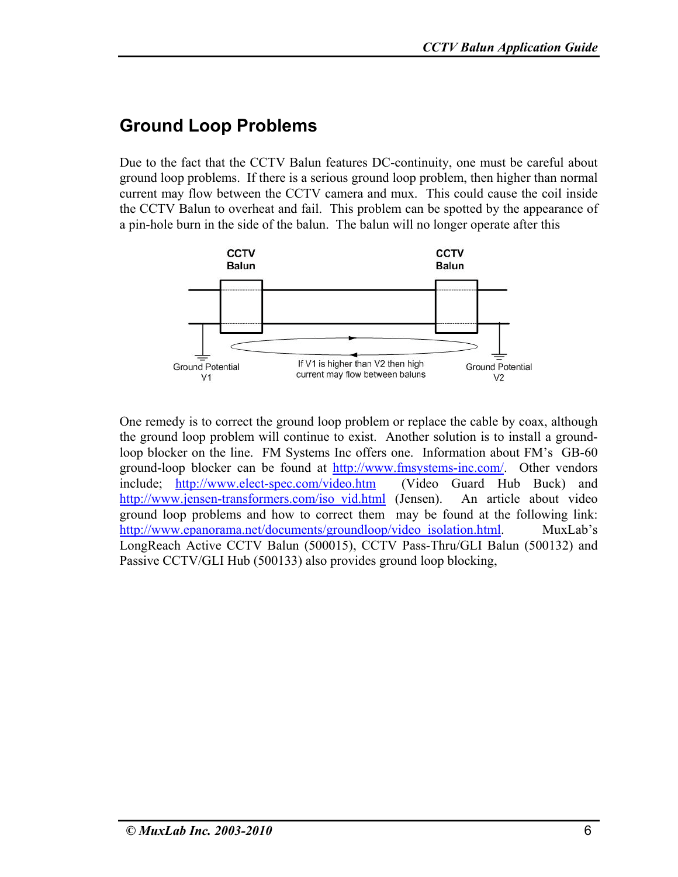#### **Ground Loop Problems**

Due to the fact that the CCTV Balun features DC-continuity, one must be careful about ground loop problems. If there is a serious ground loop problem, then higher than normal current may flow between the CCTV camera and mux. This could cause the coil inside the CCTV Balun to overheat and fail. This problem can be spotted by the appearance of a pin-hole burn in the side of the balun. The balun will no longer operate after this



One remedy is to correct the ground loop problem or replace the cable by coax, although the ground loop problem will continue to exist. Another solution is to install a groundloop blocker on the line. FM Systems Inc offers one. Information about FM's GB-60 ground-loop blocker can be found at http://www.fmsystems-inc.com/. Other vendors include; http://www.elect-spec.com/video.htm (Video Guard Hub Buck) and http://www.jensen-transformers.com/iso\_vid.html (Jensen). An article about video ground loop problems and how to correct them may be found at the following link: http://www.epanorama.net/documents/groundloop/video\_isolation.html. MuxLab's LongReach Active CCTV Balun (500015), CCTV Pass-Thru/GLI Balun (500132) and Passive CCTV/GLI Hub (500133) also provides ground loop blocking,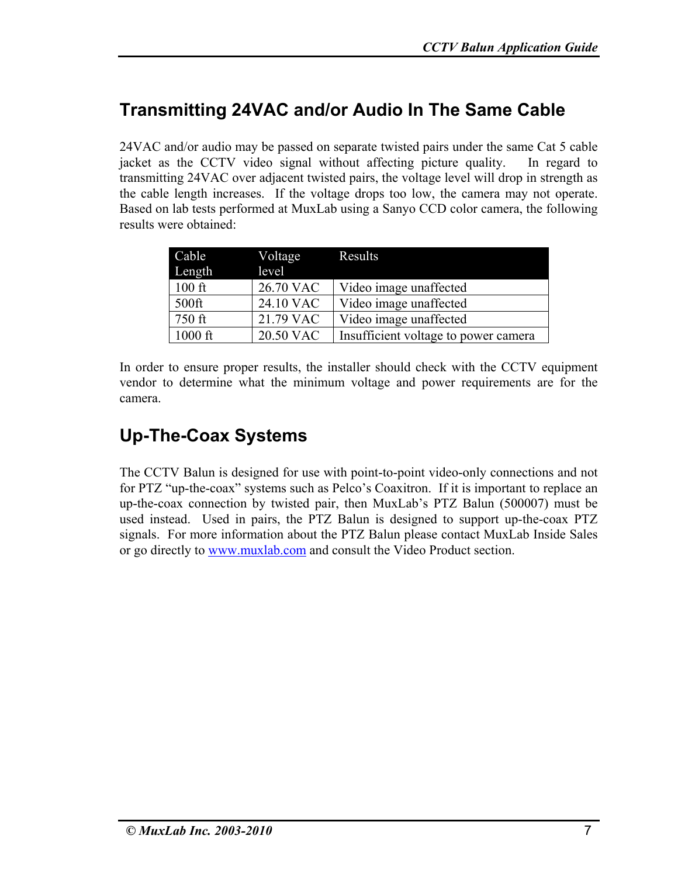# **Transmitting 24VAC and/or Audio In The Same Cable**

24VAC and/or audio may be passed on separate twisted pairs under the same Cat 5 cable jacket as the CCTV video signal without affecting picture quality. In regard to transmitting 24VAC over adjacent twisted pairs, the voltage level will drop in strength as the cable length increases. If the voltage drops too low, the camera may not operate. Based on lab tests performed at MuxLab using a Sanyo CCD color camera, the following results were obtained:

| Cable     | Voltage   | Results                              |
|-----------|-----------|--------------------------------------|
| Length    | level     |                                      |
| $100$ ft  | 26.70 VAC | Video image unaffected               |
| 500ft     | 24.10 VAC | Video image unaffected               |
| 750 ft    | 21.79 VAC | Video image unaffected               |
| $1000$ ft | 20.50 VAC | Insufficient voltage to power camera |

In order to ensure proper results, the installer should check with the CCTV equipment vendor to determine what the minimum voltage and power requirements are for the camera.

# **Up-The-Coax Systems**

The CCTV Balun is designed for use with point-to-point video-only connections and not for PTZ "up-the-coax" systems such as Pelco's Coaxitron. If it is important to replace an up-the-coax connection by twisted pair, then MuxLab's PTZ Balun (500007) must be used instead. Used in pairs, the PTZ Balun is designed to support up-the-coax PTZ signals. For more information about the PTZ Balun please contact MuxLab Inside Sales or go directly to www.muxlab.com and consult the Video Product section.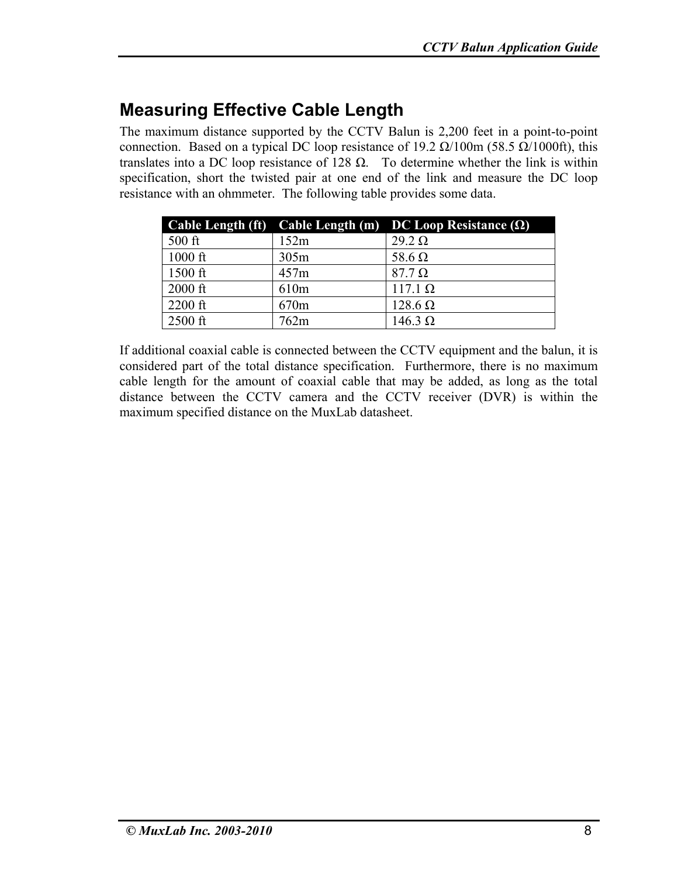# **Measuring Effective Cable Length**

The maximum distance supported by the CCTV Balun is 2,200 feet in a point-to-point connection. Based on a typical DC loop resistance of 19.2  $\Omega/100m$  (58.5  $\Omega/1000ft$ ), this translates into a DC loop resistance of 128  $\Omega$ . To determine whether the link is within specification, short the twisted pair at one end of the link and measure the DC loop resistance with an ohmmeter. The following table provides some data.

| <b>Cable Length (ft)</b> |                  | Cable Length (m) DC Loop Resistance $(\Omega)$ |
|--------------------------|------------------|------------------------------------------------|
| $500$ ft                 | 152m             | $29.2 \Omega$                                  |
| $1000$ ft                | 305m             | 58.6 $\Omega$                                  |
| $1500$ ft                | 457m             | $87.7 \Omega$                                  |
| $2000$ ft                | 610 <sub>m</sub> | $117.1 \Omega$                                 |
| $2200$ ft                | 670 <sub>m</sub> | $128.6 \Omega$                                 |
| $2500$ ft                | 762m             | $146.3 \Omega$                                 |

If additional coaxial cable is connected between the CCTV equipment and the balun, it is considered part of the total distance specification. Furthermore, there is no maximum cable length for the amount of coaxial cable that may be added, as long as the total distance between the CCTV camera and the CCTV receiver (DVR) is within the maximum specified distance on the MuxLab datasheet.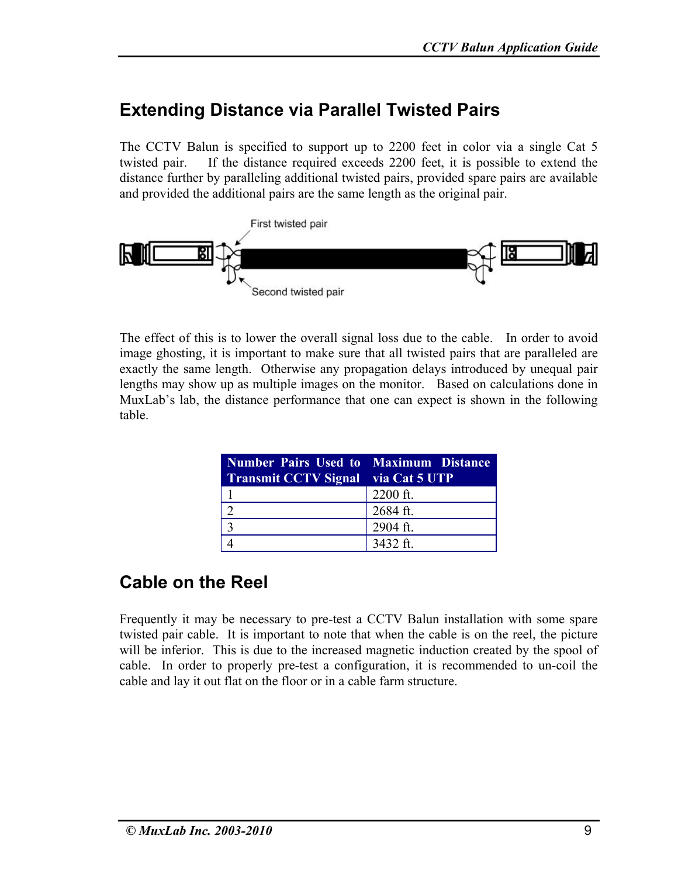#### **Extending Distance via Parallel Twisted Pairs**

The CCTV Balun is specified to support up to 2200 feet in color via a single Cat 5 twisted pair. If the distance required exceeds 2200 feet, it is possible to extend the distance further by paralleling additional twisted pairs, provided spare pairs are available and provided the additional pairs are the same length as the original pair.



The effect of this is to lower the overall signal loss due to the cable. In order to avoid image ghosting, it is important to make sure that all twisted pairs that are paralleled are exactly the same length. Otherwise any propagation delays introduced by unequal pair lengths may show up as multiple images on the monitor. Based on calculations done in MuxLab's lab, the distance performance that one can expect is shown in the following table.

| <b>Number Pairs Used to Maximum Distance</b> |            |
|----------------------------------------------|------------|
| <b>Transmit CCTV Signal</b> via Cat 5 UTP    |            |
|                                              | $2200$ ft. |
|                                              | 2684 ft.   |
|                                              | 2904 ft.   |
|                                              | 3432 ft.   |

# **Cable on the Reel**

Frequently it may be necessary to pre-test a CCTV Balun installation with some spare twisted pair cable. It is important to note that when the cable is on the reel, the picture will be inferior. This is due to the increased magnetic induction created by the spool of cable. In order to properly pre-test a configuration, it is recommended to un-coil the cable and lay it out flat on the floor or in a cable farm structure.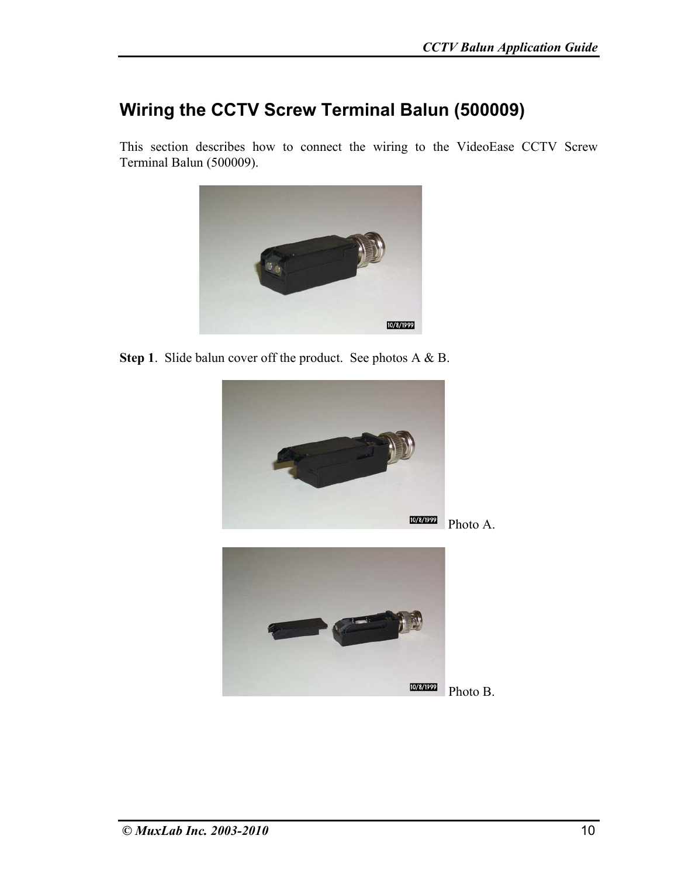#### **Wiring the CCTV Screw Terminal Balun (500009)**

This section describes how to connect the wiring to the VideoEase CCTV Screw Terminal Balun (500009).



**Step 1**. Slide balun cover off the product. See photos A & B.



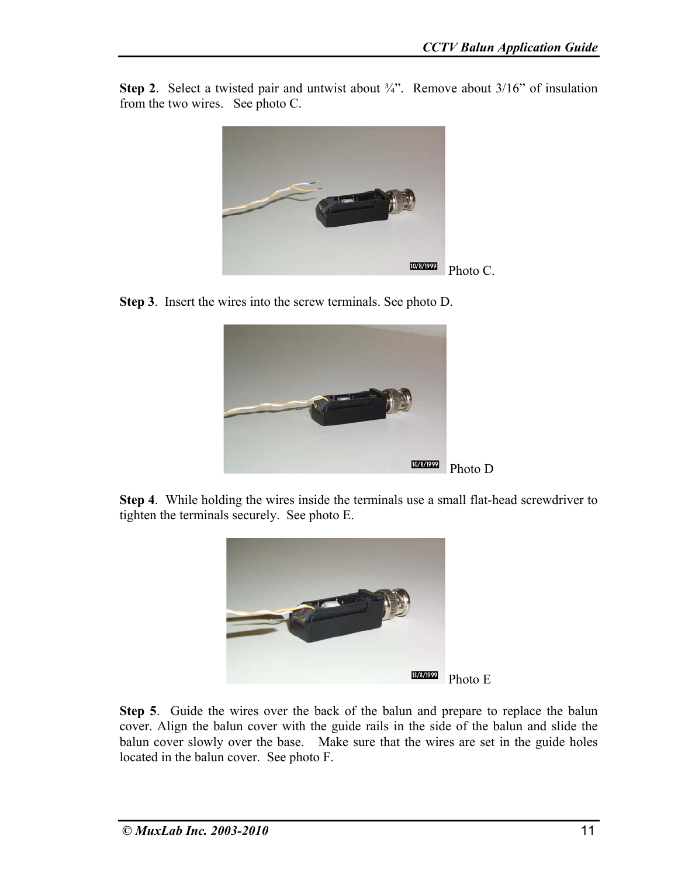**Step 2.** Select a twisted pair and untwist about <sup>3</sup>/4". Remove about 3/16" of insulation from the two wires. See photo C.



**Step 3**. Insert the wires into the screw terminals. See photo D.



**Step 4**. While holding the wires inside the terminals use a small flat-head screwdriver to tighten the terminals securely. See photo E.



**Step 5**. Guide the wires over the back of the balun and prepare to replace the balun cover. Align the balun cover with the guide rails in the side of the balun and slide the balun cover slowly over the base. Make sure that the wires are set in the guide holes located in the balun cover. See photo F.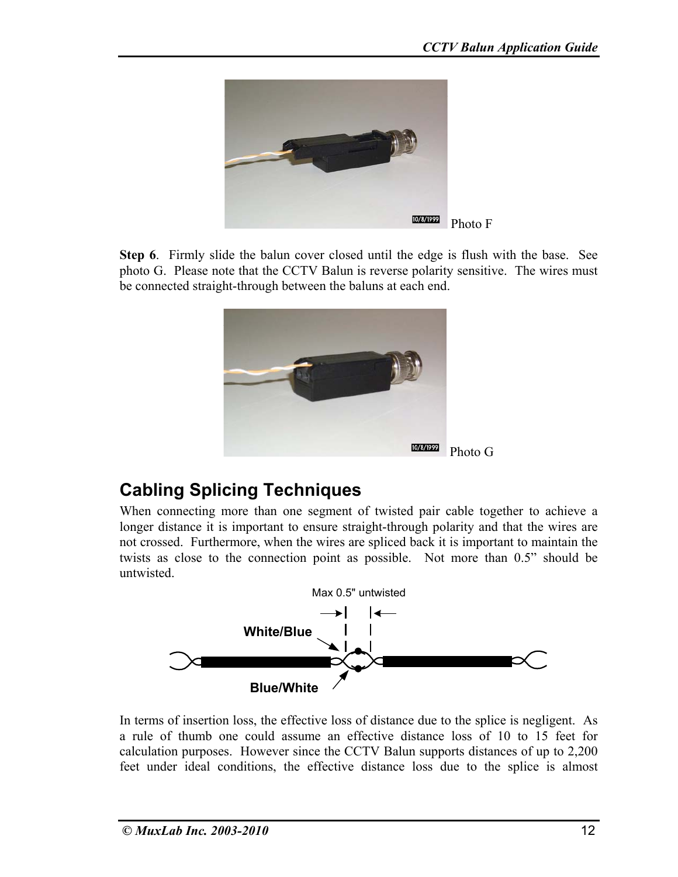

**Step 6**. Firmly slide the balun cover closed until the edge is flush with the base. See photo G. Please note that the CCTV Balun is reverse polarity sensitive. The wires must be connected straight-through between the baluns at each end.



### **Cabling Splicing Techniques**

When connecting more than one segment of twisted pair cable together to achieve a longer distance it is important to ensure straight-through polarity and that the wires are not crossed. Furthermore, when the wires are spliced back it is important to maintain the twists as close to the connection point as possible. Not more than 0.5" should be untwisted.



In terms of insertion loss, the effective loss of distance due to the splice is negligent. As a rule of thumb one could assume an effective distance loss of 10 to 15 feet for calculation purposes. However since the CCTV Balun supports distances of up to 2,200 feet under ideal conditions, the effective distance loss due to the splice is almost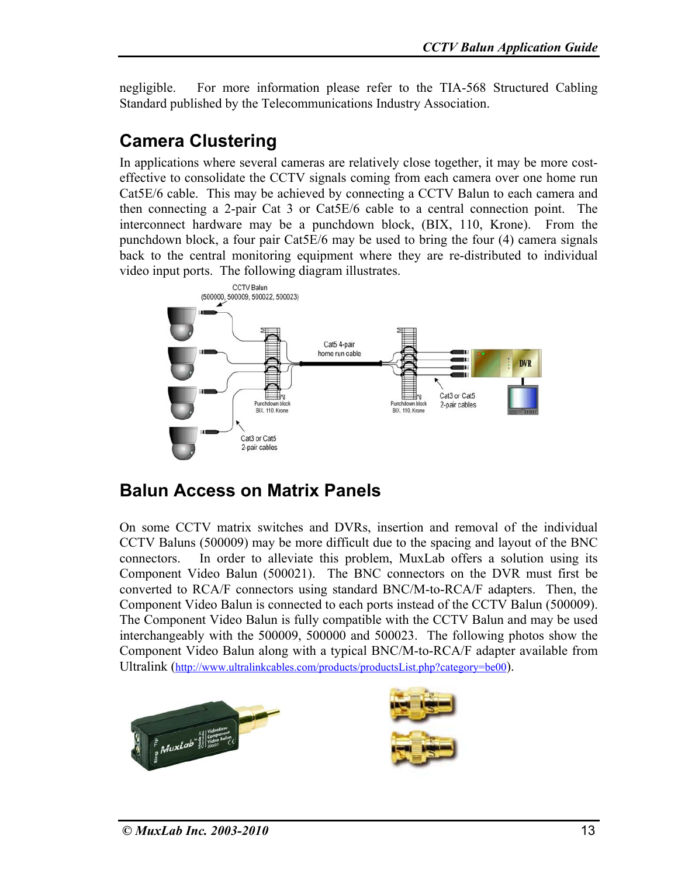negligible. For more information please refer to the TIA-568 Structured Cabling Standard published by the Telecommunications Industry Association.

### **Camera Clustering**

In applications where several cameras are relatively close together, it may be more costeffective to consolidate the CCTV signals coming from each camera over one home run Cat5E/6 cable. This may be achieved by connecting a CCTV Balun to each camera and then connecting a 2-pair Cat 3 or Cat5E/6 cable to a central connection point. The interconnect hardware may be a punchdown block, (BIX, 110, Krone). From the punchdown block, a four pair Cat5E/6 may be used to bring the four (4) camera signals back to the central monitoring equipment where they are re-distributed to individual video input ports. The following diagram illustrates.



### **Balun Access on Matrix Panels**

On some CCTV matrix switches and DVRs, insertion and removal of the individual CCTV Baluns (500009) may be more difficult due to the spacing and layout of the BNC connectors. In order to alleviate this problem, MuxLab offers a solution using its Component Video Balun (500021). The BNC connectors on the DVR must first be converted to RCA/F connectors using standard BNC/M-to-RCA/F adapters. Then, the Component Video Balun is connected to each ports instead of the CCTV Balun (500009). The Component Video Balun is fully compatible with the CCTV Balun and may be used interchangeably with the 500009, 500000 and 500023. The following photos show the Component Video Balun along with a typical BNC/M-to-RCA/F adapter available from Ultralink (http://www.ultralinkcables.com/products/productsList.php?category=be00).

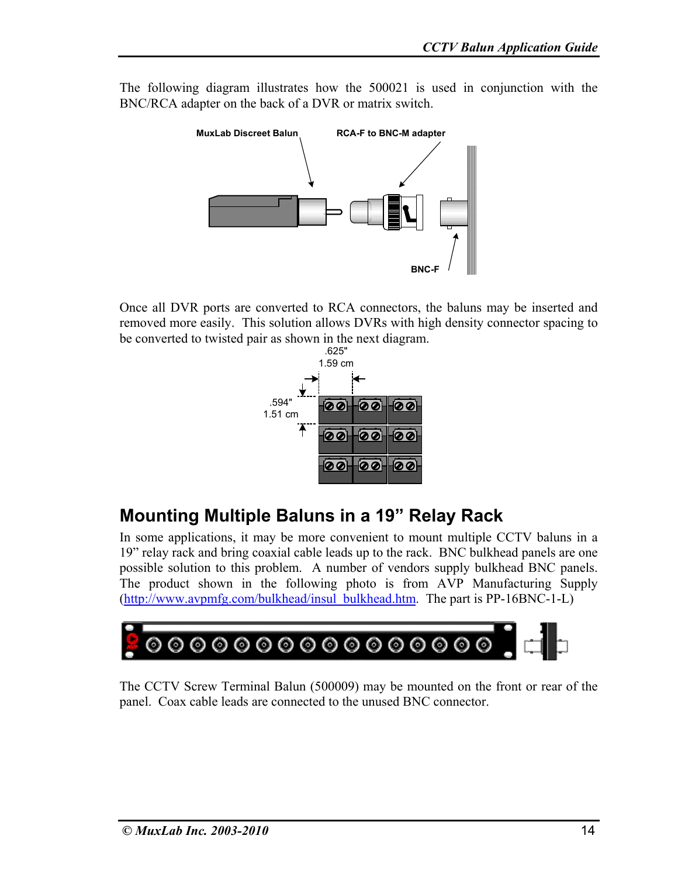The following diagram illustrates how the 500021 is used in conjunction with the BNC/RCA adapter on the back of a DVR or matrix switch.



Once all DVR ports are converted to RCA connectors, the baluns may be inserted and removed more easily. This solution allows DVRs with high density connector spacing to be converted to twisted pair as shown in the next diagram.



### **Mounting Multiple Baluns in a 19" Relay Rack**

In some applications, it may be more convenient to mount multiple CCTV baluns in a 19" relay rack and bring coaxial cable leads up to the rack. BNC bulkhead panels are one possible solution to this problem. A number of vendors supply bulkhead BNC panels. The product shown in the following photo is from AVP Manufacturing Supply (http://www.avpmfg.com/bulkhead/insul\_bulkhead.htm. The part is PP-16BNC-1-L)



The CCTV Screw Terminal Balun (500009) may be mounted on the front or rear of the panel. Coax cable leads are connected to the unused BNC connector.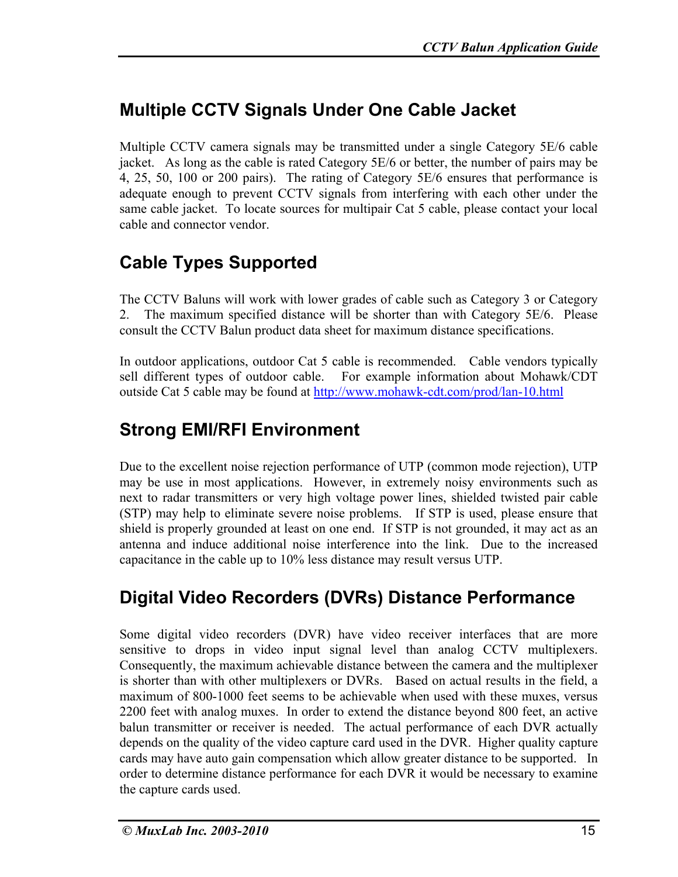## **Multiple CCTV Signals Under One Cable Jacket**

Multiple CCTV camera signals may be transmitted under a single Category 5E/6 cable jacket. As long as the cable is rated Category 5E/6 or better, the number of pairs may be 4, 25, 50, 100 or 200 pairs). The rating of Category 5E/6 ensures that performance is adequate enough to prevent CCTV signals from interfering with each other under the same cable jacket. To locate sources for multipair Cat 5 cable, please contact your local cable and connector vendor.

# **Cable Types Supported**

The CCTV Baluns will work with lower grades of cable such as Category 3 or Category 2. The maximum specified distance will be shorter than with Category 5E/6. Please consult the CCTV Balun product data sheet for maximum distance specifications.

In outdoor applications, outdoor Cat 5 cable is recommended. Cable vendors typically sell different types of outdoor cable. For example information about Mohawk/CDT outside Cat 5 cable may be found at http://www.mohawk-cdt.com/prod/lan-10.html

### **Strong EMI/RFI Environment**

Due to the excellent noise rejection performance of UTP (common mode rejection), UTP may be use in most applications. However, in extremely noisy environments such as next to radar transmitters or very high voltage power lines, shielded twisted pair cable (STP) may help to eliminate severe noise problems. If STP is used, please ensure that shield is properly grounded at least on one end. If STP is not grounded, it may act as an antenna and induce additional noise interference into the link. Due to the increased capacitance in the cable up to 10% less distance may result versus UTP.

# **Digital Video Recorders (DVRs) Distance Performance**

Some digital video recorders (DVR) have video receiver interfaces that are more sensitive to drops in video input signal level than analog CCTV multiplexers. Consequently, the maximum achievable distance between the camera and the multiplexer is shorter than with other multiplexers or DVRs. Based on actual results in the field, a maximum of 800-1000 feet seems to be achievable when used with these muxes, versus 2200 feet with analog muxes. In order to extend the distance beyond 800 feet, an active balun transmitter or receiver is needed. The actual performance of each DVR actually depends on the quality of the video capture card used in the DVR. Higher quality capture cards may have auto gain compensation which allow greater distance to be supported. In order to determine distance performance for each DVR it would be necessary to examine the capture cards used.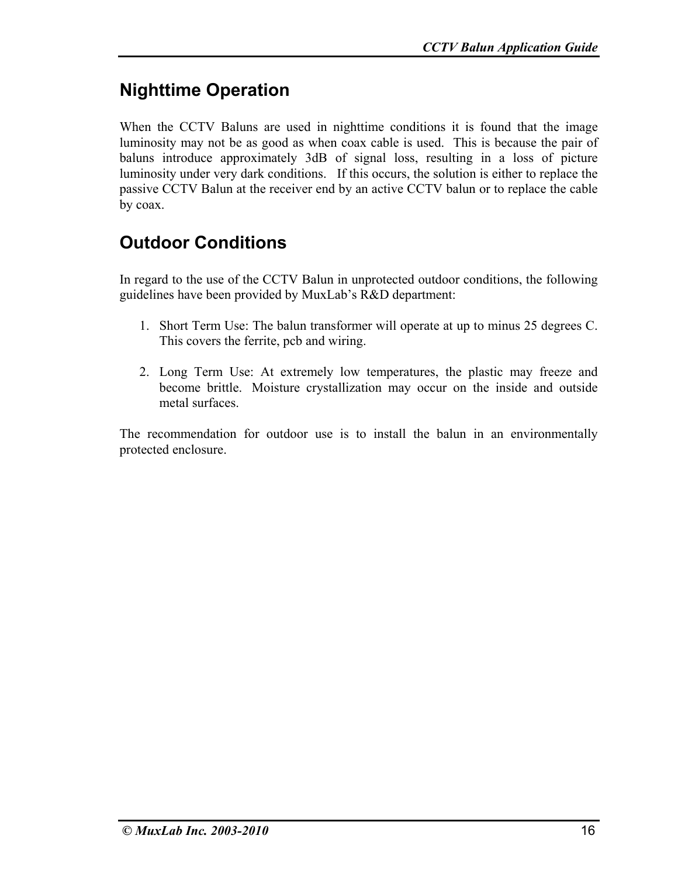# **Nighttime Operation**

When the CCTV Baluns are used in nighttime conditions it is found that the image luminosity may not be as good as when coax cable is used. This is because the pair of baluns introduce approximately 3dB of signal loss, resulting in a loss of picture luminosity under very dark conditions. If this occurs, the solution is either to replace the passive CCTV Balun at the receiver end by an active CCTV balun or to replace the cable by coax.

# **Outdoor Conditions**

In regard to the use of the CCTV Balun in unprotected outdoor conditions, the following guidelines have been provided by MuxLab's R&D department:

- 1. Short Term Use: The balun transformer will operate at up to minus 25 degrees C. This covers the ferrite, pcb and wiring.
- 2. Long Term Use: At extremely low temperatures, the plastic may freeze and become brittle. Moisture crystallization may occur on the inside and outside metal surfaces.

The recommendation for outdoor use is to install the balun in an environmentally protected enclosure.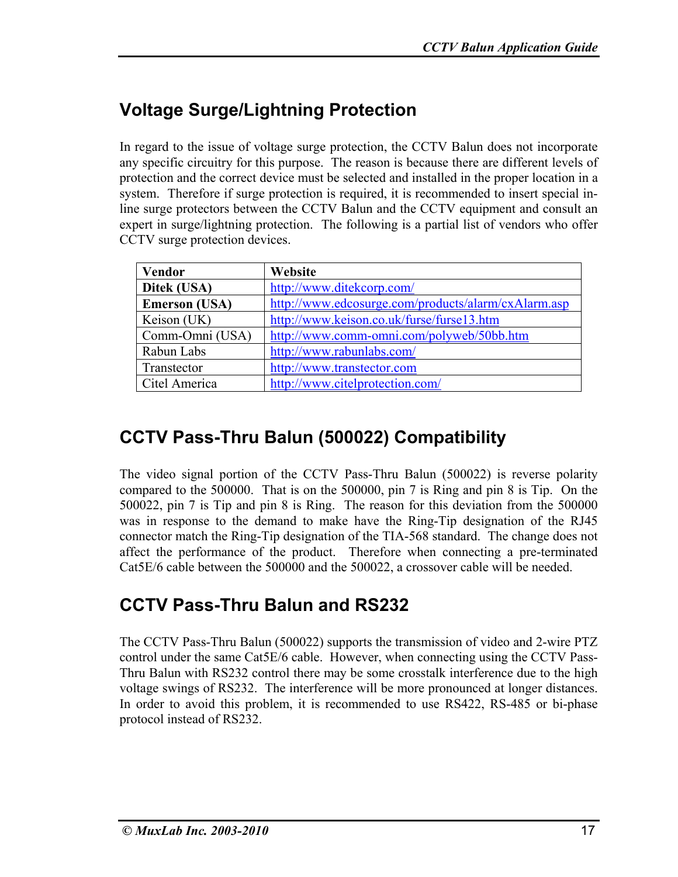# **Voltage Surge/Lightning Protection**

In regard to the issue of voltage surge protection, the CCTV Balun does not incorporate any specific circuitry for this purpose. The reason is because there are different levels of protection and the correct device must be selected and installed in the proper location in a system. Therefore if surge protection is required, it is recommended to insert special inline surge protectors between the CCTV Balun and the CCTV equipment and consult an expert in surge/lightning protection. The following is a partial list of vendors who offer CCTV surge protection devices.

| <b>Vendor</b>        | Website                                             |
|----------------------|-----------------------------------------------------|
| Ditek (USA)          | http://www.ditekcorp.com/                           |
| <b>Emerson</b> (USA) | http://www.edcosurge.com/products/alarm/cxAlarm.asp |
| Keison (UK)          | http://www.keison.co.uk/furse/furse13.htm           |
| Comm-Omni (USA)      | http://www.comm-omni.com/polyweb/50bb.htm           |
| Rabun Labs           | http://www.rabunlabs.com/                           |
| Transtector          | http://www.transtector.com                          |
| Citel America        | http://www.citelprotection.com/                     |

# **CCTV Pass-Thru Balun (500022) Compatibility**

The video signal portion of the CCTV Pass-Thru Balun (500022) is reverse polarity compared to the 500000. That is on the 500000, pin 7 is Ring and pin 8 is Tip. On the 500022, pin 7 is Tip and pin 8 is Ring. The reason for this deviation from the 500000 was in response to the demand to make have the Ring-Tip designation of the RJ45 connector match the Ring-Tip designation of the TIA-568 standard. The change does not affect the performance of the product. Therefore when connecting a pre-terminated Cat5E/6 cable between the 500000 and the 500022, a crossover cable will be needed.

### **CCTV Pass-Thru Balun and RS232**

The CCTV Pass-Thru Balun (500022) supports the transmission of video and 2-wire PTZ control under the same Cat5E/6 cable. However, when connecting using the CCTV Pass-Thru Balun with RS232 control there may be some crosstalk interference due to the high voltage swings of RS232. The interference will be more pronounced at longer distances. In order to avoid this problem, it is recommended to use RS422, RS-485 or bi-phase protocol instead of RS232.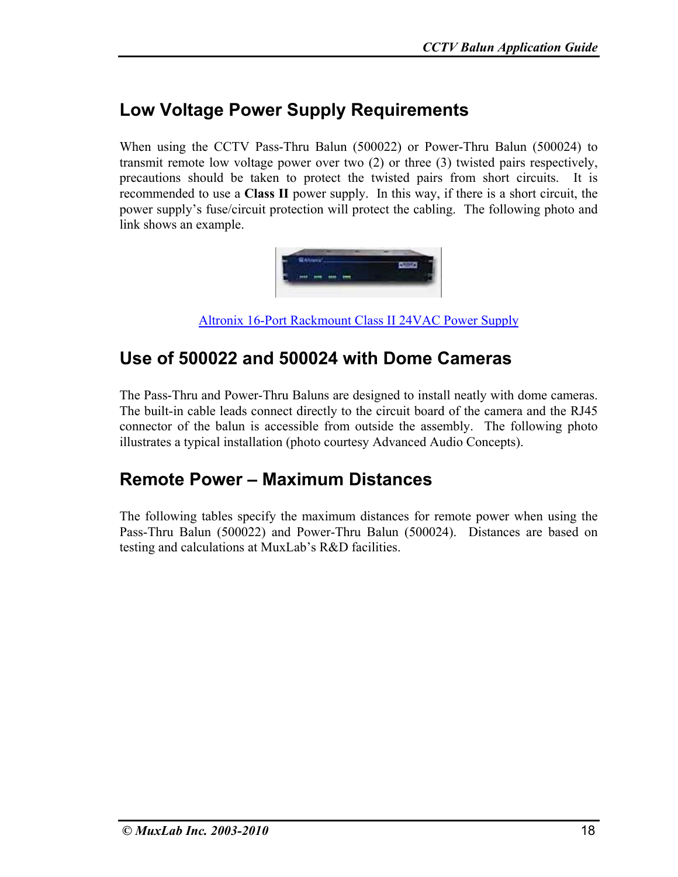### **Low Voltage Power Supply Requirements**

When using the CCTV Pass-Thru Balun (500022) or Power-Thru Balun (500024) to transmit remote low voltage power over two (2) or three (3) twisted pairs respectively, precautions should be taken to protect the twisted pairs from short circuits. It is recommended to use a **Class II** power supply. In this way, if there is a short circuit, the power supply's fuse/circuit protection will protect the cabling. The following photo and link shows an example.



Altronix 16-Port Rackmount Class II 24VAC Power Supply

#### **Use of 500022 and 500024 with Dome Cameras**

The Pass-Thru and Power-Thru Baluns are designed to install neatly with dome cameras. The built-in cable leads connect directly to the circuit board of the camera and the RJ45 connector of the balun is accessible from outside the assembly. The following photo illustrates a typical installation (photo courtesy Advanced Audio Concepts).

#### **Remote Power – Maximum Distances**

The following tables specify the maximum distances for remote power when using the Pass-Thru Balun (500022) and Power-Thru Balun (500024). Distances are based on testing and calculations at MuxLab's R&D facilities.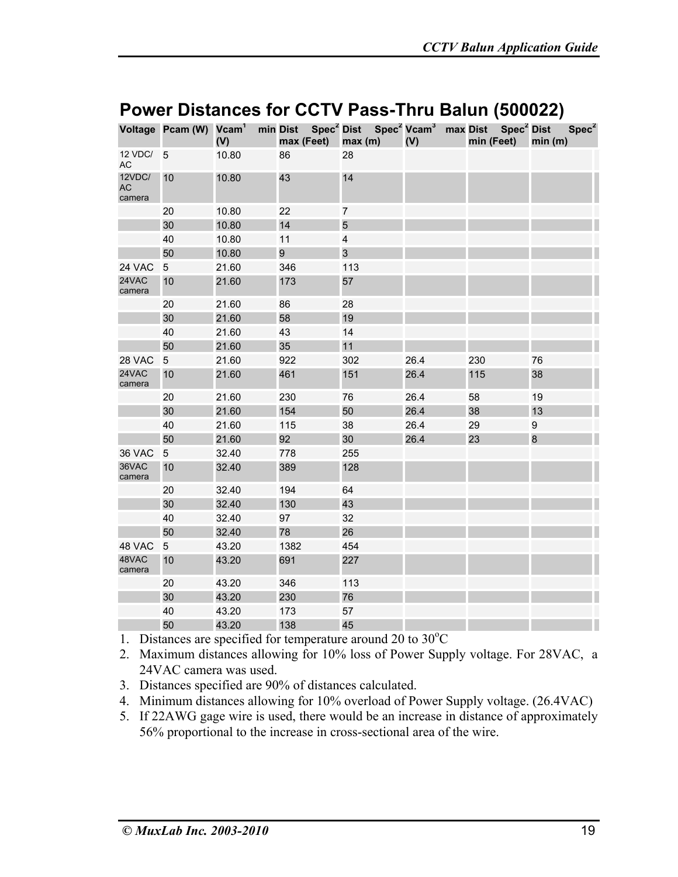|                        | Voltage Pcam (W) Vcam <sup>1</sup> | (V)   | max (Feet) | min Dist Spec <sup>2</sup> Dist Spec <sup>2</sup> Vcam <sup>3</sup> max Dist Spec <sup>2</sup> Dist<br>max(m) | (V)  | min (Feet) | Spec <sup>2</sup><br>min(m) |
|------------------------|------------------------------------|-------|------------|---------------------------------------------------------------------------------------------------------------|------|------------|-----------------------------|
| 12 VDC/<br>AC          | 5                                  | 10.80 | 86         | 28                                                                                                            |      |            |                             |
| 12VDC/<br>AC<br>camera | 10                                 | 10.80 | 43         | 14                                                                                                            |      |            |                             |
|                        | 20                                 | 10.80 | 22         | $\overline{7}$                                                                                                |      |            |                             |
|                        | 30                                 | 10.80 | 14         | 5                                                                                                             |      |            |                             |
|                        | 40                                 | 10.80 | 11         | $\overline{\mathbf{4}}$                                                                                       |      |            |                             |
|                        | 50                                 | 10.80 | 9          | 3                                                                                                             |      |            |                             |
| 24 VAC                 | 5                                  | 21.60 | 346        | 113                                                                                                           |      |            |                             |
| 24VAC<br>camera        | 10                                 | 21.60 | 173        | 57                                                                                                            |      |            |                             |
|                        | 20                                 | 21.60 | 86         | 28                                                                                                            |      |            |                             |
|                        | 30                                 | 21.60 | 58         | 19                                                                                                            |      |            |                             |
|                        | 40                                 | 21.60 | 43         | 14                                                                                                            |      |            |                             |
|                        | 50                                 | 21.60 | 35         | 11                                                                                                            |      |            |                             |
| 28 VAC                 | $\overline{5}$                     | 21.60 | 922        | 302                                                                                                           | 26.4 | 230        | 76                          |
| 24VAC<br>camera        | 10                                 | 21.60 | 461        | 151                                                                                                           | 26.4 | 115        | 38                          |
|                        | 20                                 | 21.60 | 230        | 76                                                                                                            | 26.4 | 58         | 19                          |
|                        | 30                                 | 21.60 | 154        | 50                                                                                                            | 26.4 | 38         | 13                          |
|                        | 40                                 | 21.60 | 115        | 38                                                                                                            | 26.4 | 29         | 9                           |
|                        | 50                                 | 21.60 | 92         | 30                                                                                                            | 26.4 | 23         | $\bf8$                      |
| 36 VAC                 | 5                                  | 32.40 | 778        | 255                                                                                                           |      |            |                             |
| 36VAC<br>camera        | 10                                 | 32.40 | 389        | 128                                                                                                           |      |            |                             |
|                        | 20                                 | 32.40 | 194        | 64                                                                                                            |      |            |                             |
|                        | 30                                 | 32.40 | 130        | 43                                                                                                            |      |            |                             |
|                        | 40                                 | 32.40 | 97         | 32                                                                                                            |      |            |                             |
|                        | 50                                 | 32.40 | 78         | 26                                                                                                            |      |            |                             |
| 48 VAC                 | 5                                  | 43.20 | 1382       | 454                                                                                                           |      |            |                             |
| 48VAC<br>camera        | 10                                 | 43.20 | 691        | 227                                                                                                           |      |            |                             |
|                        | 20                                 | 43.20 | 346        | 113                                                                                                           |      |            |                             |
|                        | 30                                 | 43.20 | 230        | 76                                                                                                            |      |            |                             |
|                        | 40                                 | 43.20 | 173        | 57                                                                                                            |      |            |                             |
|                        | 50                                 | 43.20 | 138        | 45                                                                                                            |      |            |                             |

#### **Power Distances for CCTV Pass-Thru Balun (500022)**

1. Distances are specified for temperature around 20 to 30°C

2. Maximum distances allowing for 10% loss of Power Supply voltage. For 28VAC, a 24VAC camera was used.

- 3. Distances specified are 90% of distances calculated.
- 4. Minimum distances allowing for 10% overload of Power Supply voltage. (26.4VAC)
- 5. If 22AWG gage wire is used, there would be an increase in distance of approximately 56% proportional to the increase in cross-sectional area of the wire.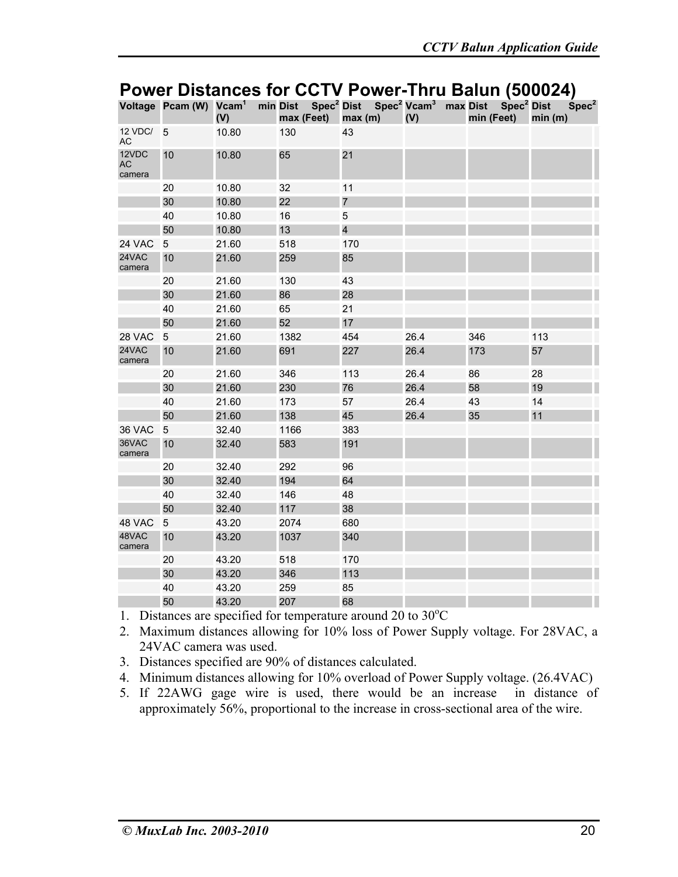|                              | Voltage Pcam (W) Vcam <sup>1</sup> | (V)   | max (Feet) | min Dist Spec <sup>2</sup> Dist Spec <sup>2</sup> Vcam <sup>3</sup> max Dist<br>max(m) | (V)  | Spec <sup>2</sup> Dist<br>min (Feet) | Spec <sup>2</sup><br>min(m) |
|------------------------------|------------------------------------|-------|------------|----------------------------------------------------------------------------------------|------|--------------------------------------|-----------------------------|
| 12 VDC/<br>AC                | 5                                  | 10.80 | 130        | 43                                                                                     |      |                                      |                             |
| 12VDC<br><b>AC</b><br>camera | 10                                 | 10.80 | 65         | 21                                                                                     |      |                                      |                             |
|                              | 20                                 | 10.80 | 32         | 11                                                                                     |      |                                      |                             |
|                              | 30                                 | 10.80 | 22         | $\overline{7}$                                                                         |      |                                      |                             |
|                              | 40                                 | 10.80 | 16         | 5                                                                                      |      |                                      |                             |
|                              | 50                                 | 10.80 | 13         | $\overline{\mathbf{4}}$                                                                |      |                                      |                             |
| 24 VAC                       | 5                                  | 21.60 | 518        | 170                                                                                    |      |                                      |                             |
| 24VAC<br>camera              | 10                                 | 21.60 | 259        | 85                                                                                     |      |                                      |                             |
|                              | 20                                 | 21.60 | 130        | 43                                                                                     |      |                                      |                             |
|                              | 30                                 | 21.60 | 86         | 28                                                                                     |      |                                      |                             |
|                              | 40                                 | 21.60 | 65         | 21                                                                                     |      |                                      |                             |
|                              | 50                                 | 21.60 | 52         | 17                                                                                     |      |                                      |                             |
| 28 VAC                       | 5                                  | 21.60 | 1382       | 454                                                                                    | 26.4 | 346                                  | 113                         |
| 24VAC<br>camera              | 10                                 | 21.60 | 691        | 227                                                                                    | 26.4 | 173                                  | 57                          |
|                              | 20                                 | 21.60 | 346        | 113                                                                                    | 26.4 | 86                                   | 28                          |
|                              | 30                                 | 21.60 | 230        | 76                                                                                     | 26.4 | 58                                   | 19                          |
|                              | 40                                 | 21.60 | 173        | 57                                                                                     | 26.4 | 43                                   | 14                          |
|                              | 50                                 | 21.60 | 138        | 45                                                                                     | 26.4 | 35                                   | 11                          |
| 36 VAC                       | 5                                  | 32.40 | 1166       | 383                                                                                    |      |                                      |                             |
| 36VAC<br>camera              | 10                                 | 32.40 | 583        | 191                                                                                    |      |                                      |                             |
|                              | 20                                 | 32.40 | 292        | 96                                                                                     |      |                                      |                             |
|                              | 30                                 | 32.40 | 194        | 64                                                                                     |      |                                      |                             |
|                              | 40                                 | 32.40 | 146        | 48                                                                                     |      |                                      |                             |
|                              | 50                                 | 32.40 | 117        | 38                                                                                     |      |                                      |                             |
| 48 VAC                       | 5                                  | 43.20 | 2074       | 680                                                                                    |      |                                      |                             |
| 48VAC<br>camera              | 10                                 | 43.20 | 1037       | 340                                                                                    |      |                                      |                             |
|                              | 20                                 | 43.20 | 518        | 170                                                                                    |      |                                      |                             |
|                              | 30                                 | 43.20 | 346        | 113                                                                                    |      |                                      |                             |
|                              | 40                                 | 43.20 | 259        | 85                                                                                     |      |                                      |                             |
|                              | 50                                 | 43.20 | 207        | 68                                                                                     |      |                                      |                             |

#### **Power Distances for CCTV Power-Thru Balun (500024)**

1. Distances are specified for temperature around 20 to 30°C

- 2. Maximum distances allowing for 10% loss of Power Supply voltage. For 28VAC, a 24VAC camera was used.
- 3. Distances specified are 90% of distances calculated.
- 4. Minimum distances allowing for 10% overload of Power Supply voltage. (26.4VAC)
- 5. If 22AWG gage wire is used, there would be an increase in distance of approximately 56%, proportional to the increase in cross-sectional area of the wire.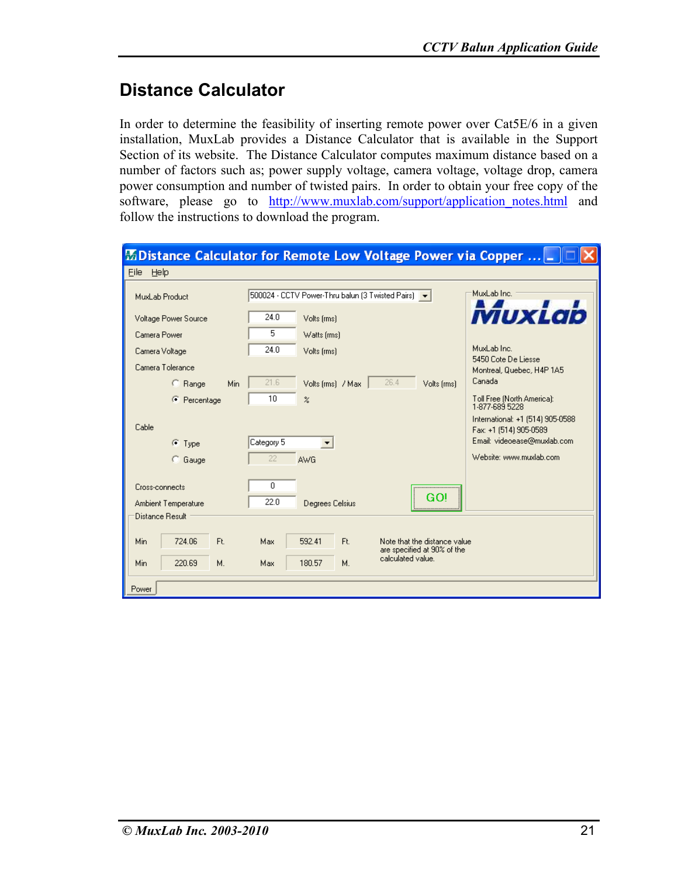#### **Distance Calculator**

In order to determine the feasibility of inserting remote power over Cat5E/6 in a given installation, MuxLab provides a Distance Calculator that is available in the Support Section of its website. The Distance Calculator computes maximum distance based on a number of factors such as; power supply voltage, camera voltage, voltage drop, camera power consumption and number of twisted pairs. In order to obtain your free copy of the software, please go to http://www.muxlab.com/support/application notes.html and follow the instructions to download the program.

|                                                          | EDistance Calculator for Remote Low Voltage Power via Copper   _                    |                                                            |
|----------------------------------------------------------|-------------------------------------------------------------------------------------|------------------------------------------------------------|
| Eile Help                                                |                                                                                     |                                                            |
| MuxLab Product                                           | 500024 - CCTV Power-Thru balun (3 Twisted Pairs) v                                  | MuxLab Inc.                                                |
| Voltage Power Source                                     | 24.0<br>Volts (rms)                                                                 | VIUXLAD                                                    |
| Camera Power                                             | 5<br>Watts [rms]                                                                    |                                                            |
| Camera Voltage                                           | 24.0<br>Volts [rms]                                                                 | MuxLab Inc.<br>5450 Cote De Liesse                         |
| Camera Tolerance                                         |                                                                                     | Montreal, Quebec, H4P 1A5                                  |
| Min<br>$C$ Range                                         | 21.6<br>26.4<br>Volts [rms] / Max<br>Volts (rms)                                    | Canada                                                     |
| C Percentage                                             | 10<br>$\boldsymbol{\mathcal{Z}}$                                                    | Toll Free (North America):<br>1-877-689 5228               |
| Cable                                                    |                                                                                     | International: +1 (514) 905-0588<br>Fax: +1 (514) 905-0589 |
| $\bullet$ Type                                           | Category 5                                                                          | Email: videoease@muxlab.com                                |
| C Gauge                                                  | 22<br><b>AWG</b>                                                                    | Website: www.muxlab.com                                    |
| Cross-connects<br>Ambient Temperature<br>Distance Result | 0<br>GO!<br>22.0<br>Degrees Celsius                                                 |                                                            |
| 724.06<br>Ft.<br>Min                                     | Max<br>592.41<br>Ft.<br>Note that the distance value<br>are specified at 90% of the |                                                            |
| Min<br>220.69<br>М.                                      | calculated value.<br>Max<br>180.57<br>М.                                            |                                                            |
| Power                                                    |                                                                                     |                                                            |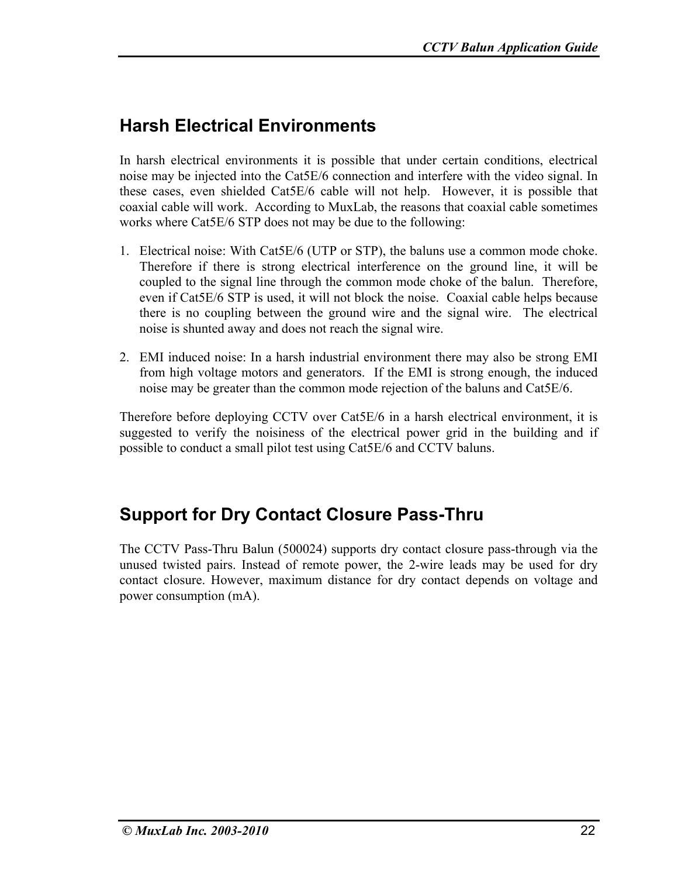## **Harsh Electrical Environments**

In harsh electrical environments it is possible that under certain conditions, electrical noise may be injected into the Cat5E/6 connection and interfere with the video signal. In these cases, even shielded Cat5E/6 cable will not help. However, it is possible that coaxial cable will work. According to MuxLab, the reasons that coaxial cable sometimes works where Cat5E/6 STP does not may be due to the following:

- 1. Electrical noise: With Cat5E/6 (UTP or STP), the baluns use a common mode choke. Therefore if there is strong electrical interference on the ground line, it will be coupled to the signal line through the common mode choke of the balun. Therefore, even if Cat5E/6 STP is used, it will not block the noise. Coaxial cable helps because there is no coupling between the ground wire and the signal wire. The electrical noise is shunted away and does not reach the signal wire.
- 2. EMI induced noise: In a harsh industrial environment there may also be strong EMI from high voltage motors and generators. If the EMI is strong enough, the induced noise may be greater than the common mode rejection of the baluns and Cat5E/6.

Therefore before deploying CCTV over Cat5E/6 in a harsh electrical environment, it is suggested to verify the noisiness of the electrical power grid in the building and if possible to conduct a small pilot test using Cat5E/6 and CCTV baluns.

### **Support for Dry Contact Closure Pass-Thru**

The CCTV Pass-Thru Balun (500024) supports dry contact closure pass-through via the unused twisted pairs. Instead of remote power, the 2-wire leads may be used for dry contact closure. However, maximum distance for dry contact depends on voltage and power consumption (mA).